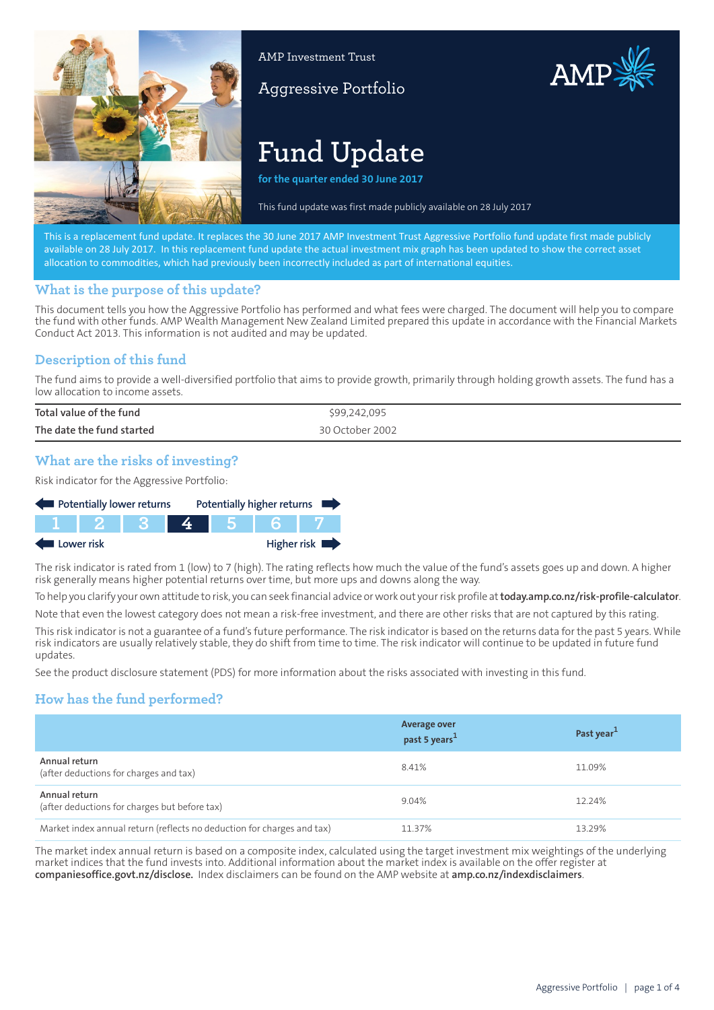

AMP Investment Trust

# Aggressive Portfolio



AMP

**for the quarter ended 30 June 2017**

This fund update was first made publidy available on 13A arch 201,

This is a replacement fund update. It replaces the 30 June 2017 AMP Investment Trust Aggressive Portfolio fund update first made publicly available on 28 July 2017. In this replacement fund update the actual investment mix graph has been updated to show the correct asset allocation to commodities, which had previously been incorrectly included as part of international equities.

#### **What is the purpose of this update?**

This document tells you how the Aggressive Portfolio has performed and what fees were charged. The document will help you to compare the fund with other funds. AMP Wealth Management New Zealand Limited prepared this update in accordance with the Financial Markets Conduct Act 2013. This information is not audited and may be updated.

## **Description of this fund**

The fund aims to provide a well-diversified portfolio that aims to provide growth, primarily through holding growth assets. The fund has a low allocation to income assets.

| Total value of the fund   | \$99,242,095    |
|---------------------------|-----------------|
| The date the fund started | 30 October 2002 |

### **What are the risks of investing?**

Risk indicator for the Aggressive Portfolio:



The risk indicator is rated from 1 (low) to 7 (high). The rating reflects how much the value of the fund's assets goes up and down. A higher risk generally means higher potential returns over time, but more ups and downs along the way.

To help you clarify your own attitude to risk, you can seek financial advice or work out your risk profile at**[today.amp.co.nz/risk-profile-calculator](http://today.amp.co.nz/risk-profile-calculator)**.

Note that even the lowest category does not mean a risk-free investment, and there are other risks that are not captured by this rating.

This risk indicator is not a guarantee of a fund's future performance. The risk indicator is based on the returns data for the past 5 years. While risk indicators are usually relatively stable, they do shift from time to time. The risk indicator will continue to be updated in future fund updates.

See the product disclosure statement (PDS) for more information about the risks associated with investing in this fund.

## **How has the fund performed?**

|                                                                        | <b>Average over</b><br>past 5 years <sup>1</sup> | Past year <sup>1</sup> |
|------------------------------------------------------------------------|--------------------------------------------------|------------------------|
| Annual return<br>(after deductions for charges and tax)                | 8.41%                                            | 11.09%                 |
| Annual return<br>(after deductions for charges but before tax)         | 9.04%                                            | 12.24%                 |
| Market index annual return (reflects no deduction for charges and tax) | 11.37%                                           | 13.29%                 |

The market index annual return is based on a composite index, calculated using the target investment mix weightings of the underlying market indices that the fund invests into. Additional information about the market index is available on the offer register at **[companiesoffice.govt.nz/disclose](http://companiesoffice.govt.nz/disclose).** Index disclaimers can be found on the AMP website at **[amp.co.nz/indexdisclaimers](http://amp.co.nz/indexdisclaimers)**.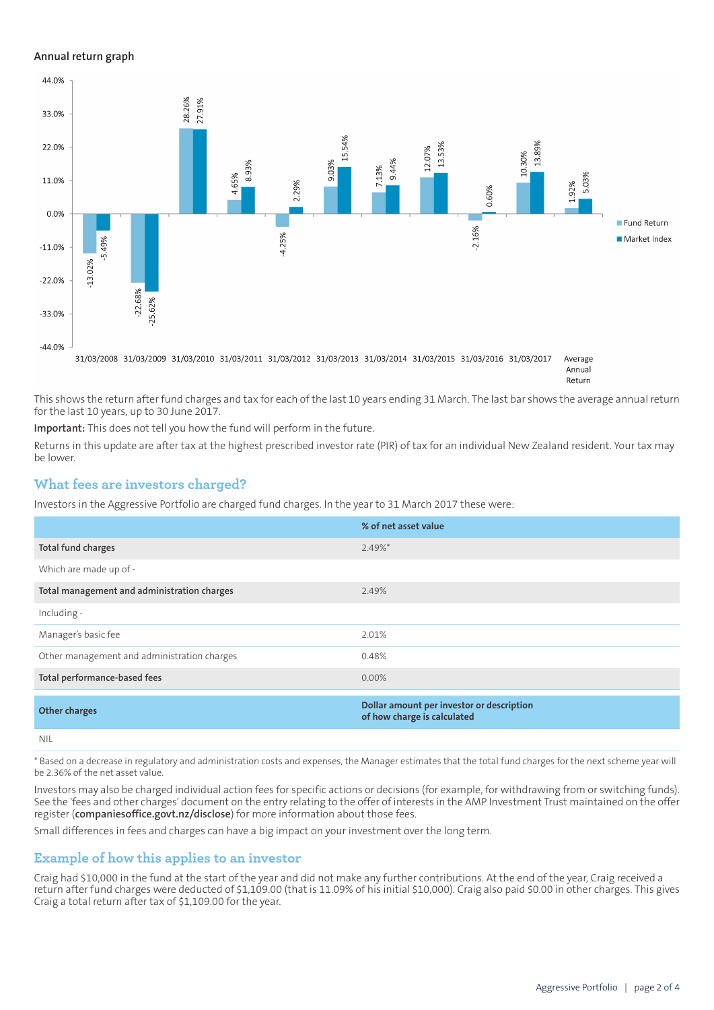#### **Annual return graph**



This shows the return after fund charges and tax for each of the last 10 years ending 31 March. The last bar shows the average annual return for the last 10 years, up to 30 June 2017.

**Important:** This does not tell you how the fund will perform in the future.

Returns in this update are after tax at the highest prescribed investor rate (PIR) of tax for an individual New Zealand resident. Your tax may be lower.

### **What fees are investors charged?**

Investors in the Aggressive Portfolio are charged fund charges. In the year to 31 March 2017 these were:

|                                             | % of net asset value                                                     |
|---------------------------------------------|--------------------------------------------------------------------------|
| Total fund charges                          | $2.49%$ *                                                                |
| Which are made up of -                      |                                                                          |
| Total management and administration charges | 2.49%                                                                    |
| Including -                                 |                                                                          |
| Manager's basic fee                         | 2.01%                                                                    |
| Other management and administration charges | 0.48%                                                                    |
| Total performance-based fees                | $0.00\%$                                                                 |
| <b>Other charges</b>                        | Dollar amount per investor or description<br>of how charge is calculated |
| <b>NIL</b>                                  |                                                                          |

\* Based on a decrease in regulatory and administration costs and expenses, the Manager estimates that the total fund charges for the next scheme year will be 2.36% of the net asset value.

Investors may also be charged individual action fees for specific actions or decisions (for example, for withdrawing from or switching funds). See the 'fees and other charges' document on the entry relating to the offer of interests in the AMP Investment Trust maintained on the offer register (**[companiesoffice.govt.nz/disclose](http://companiesoffice.govt.nz/disclose)**) for more information about those fees.

Small differences in fees and charges can have a big impact on your investment over the long term.

### **Example of how this applies to an investor**

Craig had \$10,000 in the fund at the start of the year and did not make any further contributions. At the end of the year, Craig received a return after fund charges were deducted of \$1,109.00 (that is 11.09% of his initial \$10,000). Craig also paid \$0.00 in other charges. This gives Craig a total return after tax of \$1,109.00 for the year.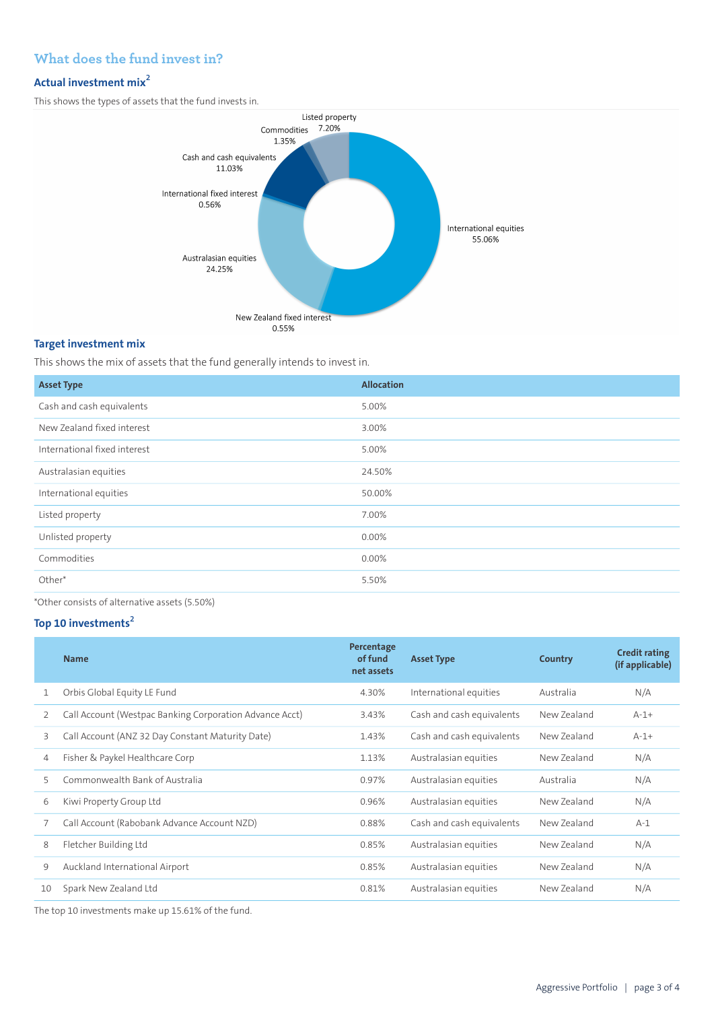## **What does the fund invest in?**

### **Actual investment mix<sup>2</sup>**

This shows the types of assets that the fund invests in.



#### **Target investment mix**

This shows the mix of assets that the fund generally intends to invest in.

| <b>Asset Type</b>            | Allocation |
|------------------------------|------------|
| Cash and cash equivalents    | 5.00%      |
| New Zealand fixed interest   | 3.00%      |
| International fixed interest | 5.00%      |
| Australasian equities        | 24.50%     |
| International equities       | 50.00%     |
| Listed property              | 7.00%      |
| Unlisted property            | 0.00%      |
| Commodities                  | 0.00%      |
| Other*                       | 5.50%      |

\*Other consists of alternative assets (5.50%)

#### **Top 10 investments<sup>2</sup>**

|    | <b>Name</b>                                             | Percentage<br>of fund<br>net assets | <b>Asset Type</b>         | Country     | <b>Credit rating</b><br>(if applicable) |
|----|---------------------------------------------------------|-------------------------------------|---------------------------|-------------|-----------------------------------------|
| 1  | Orbis Global Equity LE Fund                             | 4.30%                               | International equities    | Australia   | N/A                                     |
| 2  | Call Account (Westpac Banking Corporation Advance Acct) | 3.43%                               | Cash and cash equivalents | New Zealand | $A-1+$                                  |
| 3  | Call Account (ANZ 32 Day Constant Maturity Date)        | 1.43%                               | Cash and cash equivalents | New Zealand | $A-1+$                                  |
| 4  | Fisher & Paykel Healthcare Corp                         | 1.13%                               | Australasian equities     | New Zealand | N/A                                     |
| 5  | Commonwealth Bank of Australia                          | 0.97%                               | Australasian equities     | Australia   | N/A                                     |
| 6  | Kiwi Property Group Ltd                                 | 0.96%                               | Australasian equities     | New Zealand | N/A                                     |
|    | Call Account (Rabobank Advance Account NZD)             | 0.88%                               | Cash and cash equivalents | New Zealand | $A-1$                                   |
| 8  | Fletcher Building Ltd                                   | 0.85%                               | Australasian equities     | New Zealand | N/A                                     |
| 9  | Auckland International Airport                          | 0.85%                               | Australasian equities     | New Zealand | N/A                                     |
| 10 | Spark New Zealand Ltd                                   | 0.81%                               | Australasian equities     | New Zealand | N/A                                     |

The top 10 investments make up 15.61% of the fund.